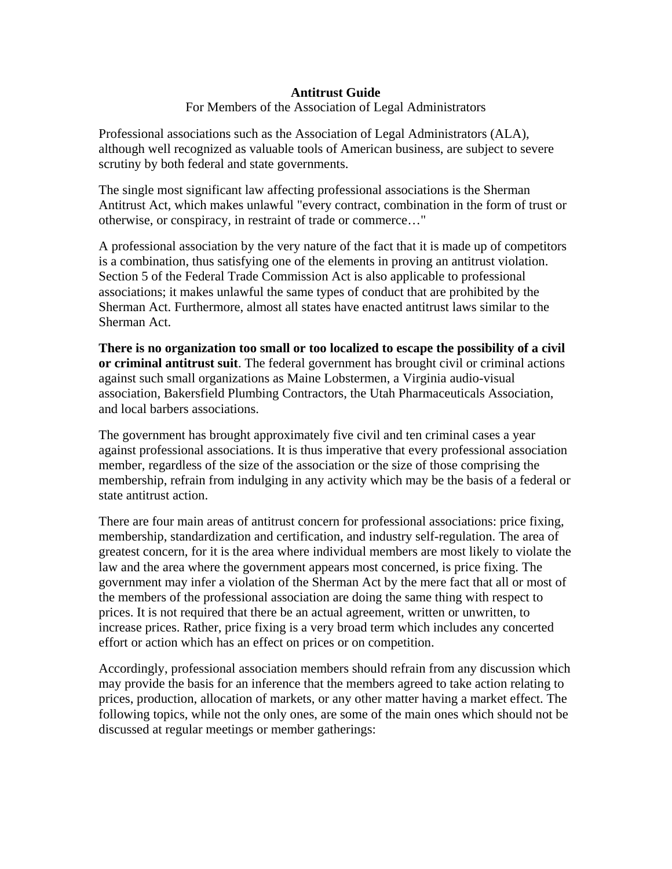## **Antitrust Guide**

For Members of the Association of Legal Administrators

Professional associations such as the Association of Legal Administrators (ALA), although well recognized as valuable tools of American business, are subject to severe scrutiny by both federal and state governments.

The single most significant law affecting professional associations is the Sherman Antitrust Act, which makes unlawful "every contract, combination in the form of trust or otherwise, or conspiracy, in restraint of trade or commerce…"

A professional association by the very nature of the fact that it is made up of competitors is a combination, thus satisfying one of the elements in proving an antitrust violation. Section 5 of the Federal Trade Commission Act is also applicable to professional associations; it makes unlawful the same types of conduct that are prohibited by the Sherman Act. Furthermore, almost all states have enacted antitrust laws similar to the Sherman Act.

**There is no organization too small or too localized to escape the possibility of a civil or criminal antitrust suit**. The federal government has brought civil or criminal actions against such small organizations as Maine Lobstermen, a Virginia audio-visual association, Bakersfield Plumbing Contractors, the Utah Pharmaceuticals Association, and local barbers associations.

The government has brought approximately five civil and ten criminal cases a year against professional associations. It is thus imperative that every professional association member, regardless of the size of the association or the size of those comprising the membership, refrain from indulging in any activity which may be the basis of a federal or state antitrust action.

There are four main areas of antitrust concern for professional associations: price fixing, membership, standardization and certification, and industry self-regulation. The area of greatest concern, for it is the area where individual members are most likely to violate the law and the area where the government appears most concerned, is price fixing. The government may infer a violation of the Sherman Act by the mere fact that all or most of the members of the professional association are doing the same thing with respect to prices. It is not required that there be an actual agreement, written or unwritten, to increase prices. Rather, price fixing is a very broad term which includes any concerted effort or action which has an effect on prices or on competition.

Accordingly, professional association members should refrain from any discussion which may provide the basis for an inference that the members agreed to take action relating to prices, production, allocation of markets, or any other matter having a market effect. The following topics, while not the only ones, are some of the main ones which should not be discussed at regular meetings or member gatherings: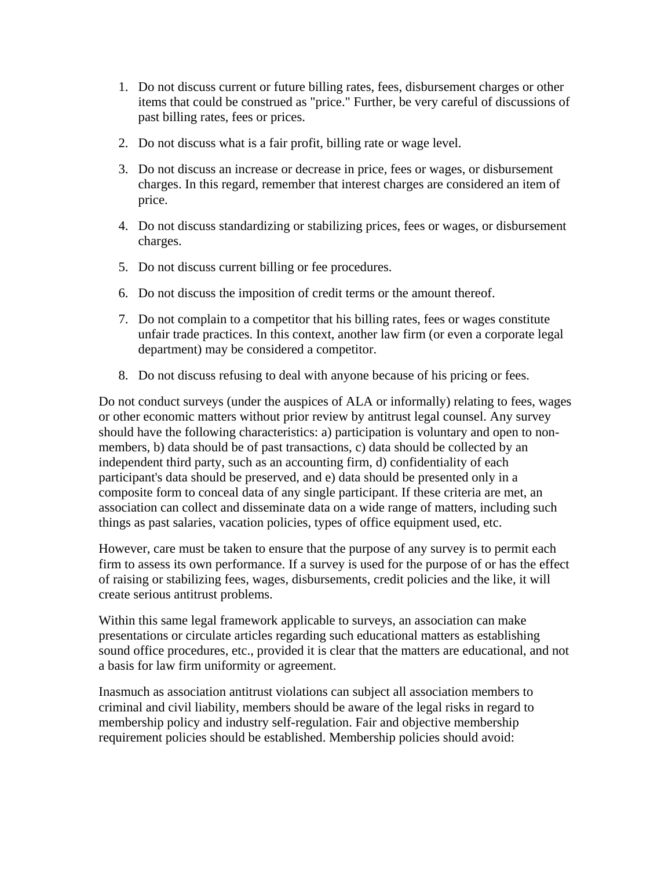- 1. Do not discuss current or future billing rates, fees, disbursement charges or other items that could be construed as "price." Further, be very careful of discussions of past billing rates, fees or prices.
- 2. Do not discuss what is a fair profit, billing rate or wage level.
- 3. Do not discuss an increase or decrease in price, fees or wages, or disbursement charges. In this regard, remember that interest charges are considered an item of price.
- 4. Do not discuss standardizing or stabilizing prices, fees or wages, or disbursement charges.
- 5. Do not discuss current billing or fee procedures.
- 6. Do not discuss the imposition of credit terms or the amount thereof.
- 7. Do not complain to a competitor that his billing rates, fees or wages constitute unfair trade practices. In this context, another law firm (or even a corporate legal department) may be considered a competitor.
- 8. Do not discuss refusing to deal with anyone because of his pricing or fees.

Do not conduct surveys (under the auspices of ALA or informally) relating to fees, wages or other economic matters without prior review by antitrust legal counsel. Any survey should have the following characteristics: a) participation is voluntary and open to nonmembers, b) data should be of past transactions, c) data should be collected by an independent third party, such as an accounting firm, d) confidentiality of each participant's data should be preserved, and e) data should be presented only in a composite form to conceal data of any single participant. If these criteria are met, an association can collect and disseminate data on a wide range of matters, including such things as past salaries, vacation policies, types of office equipment used, etc.

However, care must be taken to ensure that the purpose of any survey is to permit each firm to assess its own performance. If a survey is used for the purpose of or has the effect of raising or stabilizing fees, wages, disbursements, credit policies and the like, it will create serious antitrust problems.

Within this same legal framework applicable to surveys, an association can make presentations or circulate articles regarding such educational matters as establishing sound office procedures, etc., provided it is clear that the matters are educational, and not a basis for law firm uniformity or agreement.

Inasmuch as association antitrust violations can subject all association members to criminal and civil liability, members should be aware of the legal risks in regard to membership policy and industry self-regulation. Fair and objective membership requirement policies should be established. Membership policies should avoid: